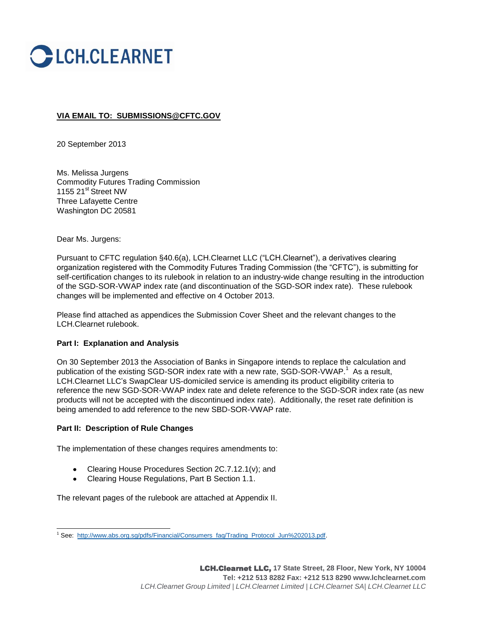

# **VIA EMAIL TO: [SUBMISSIONS@CFTC.GOV](mailto:SECRETARY@CFTC.GOV)**

20 September 2013

Ms. Melissa Jurgens Commodity Futures Trading Commission 1155 21<sup>st</sup> Street NW Three Lafayette Centre Washington DC 20581

### Dear Ms. Jurgens:

Pursuant to CFTC regulation §40.6(a), LCH.Clearnet LLC ("LCH.Clearnet"), a derivatives clearing organization registered with the Commodity Futures Trading Commission (the "CFTC"), is submitting for self-certification changes to its rulebook in relation to an industry-wide change resulting in the introduction of the SGD-SOR-VWAP index rate (and discontinuation of the SGD-SOR index rate). These rulebook changes will be implemented and effective on 4 October 2013.

Please find attached as appendices the Submission Cover Sheet and the relevant changes to the LCH.Clearnet rulebook.

### **Part I: Explanation and Analysis**

On 30 September 2013 the Association of Banks in Singapore intends to replace the calculation and publication of the existing SGD-SOR index rate with a new rate, SGD-SOR-VWAP.<sup>1</sup> As a result, LCH.Clearnet LLC's SwapClear US-domiciled service is amending its product eligibility criteria to reference the new SGD-SOR-VWAP index rate and delete reference to the SGD-SOR index rate (as new products will not be accepted with the discontinued index rate). Additionally, the reset rate definition is being amended to add reference to the new SBD-SOR-VWAP rate.

### **Part II: Description of Rule Changes**

The implementation of these changes requires amendments to:

- Clearing House Procedures Section 2C.7.12.1(v); and
- Clearing House Regulations, Part B Section 1.1.  $\bullet$

The relevant pages of the rulebook are attached at Appendix II.

l <sup>1</sup> See: [http://www.abs.org.sg/pdfs/Financial/Consumers\\_faq/Trading\\_Protocol\\_Jun%202013.pdf.](http://www.abs.org.sg/pdfs/Financial/Consumers_faq/Trading_Protocol_Jun%202013.pdf)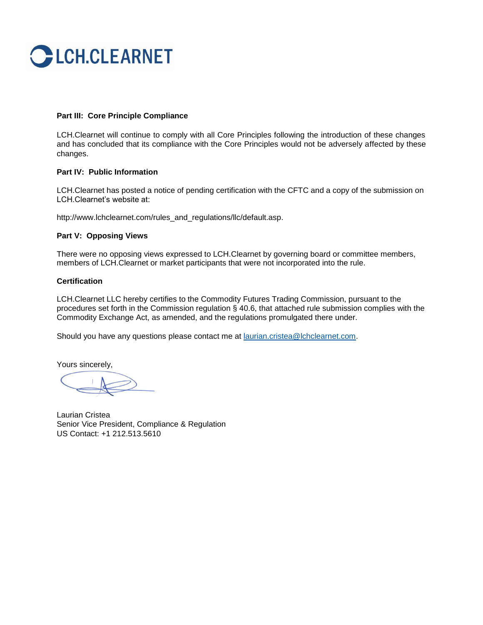

## **Part III: Core Principle Compliance**

LCH.Clearnet will continue to comply with all Core Principles following the introduction of these changes and has concluded that its compliance with the Core Principles would not be adversely affected by these changes.

### **Part IV: Public Information**

LCH.Clearnet has posted a notice of pending certification with the CFTC and a copy of the submission on LCH.Clearnet's website at:

http://www.lchclearnet.com/rules\_and\_regulations/llc/default.asp.

### **Part V: Opposing Views**

There were no opposing views expressed to LCH.Clearnet by governing board or committee members, members of LCH.Clearnet or market participants that were not incorporated into the rule.

#### **Certification**

LCH.Clearnet LLC hereby certifies to the Commodity Futures Trading Commission, pursuant to the procedures set forth in the Commission regulation § 40.6, that attached rule submission complies with the Commodity Exchange Act, as amended, and the regulations promulgated there under.

Should you have any questions please contact me at **laurian.cristea@lchclearnet.com**.

Yours sincerely,

Laurian Cristea Senior Vice President, Compliance & Regulation US Contact: +1 212.513.5610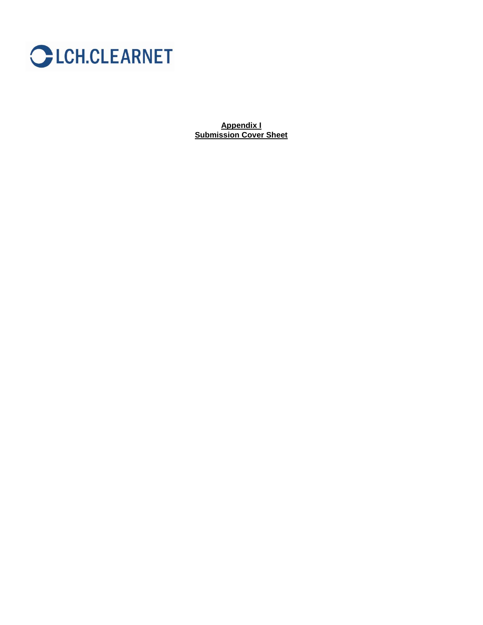

**Appendix I Submission Cover Sheet**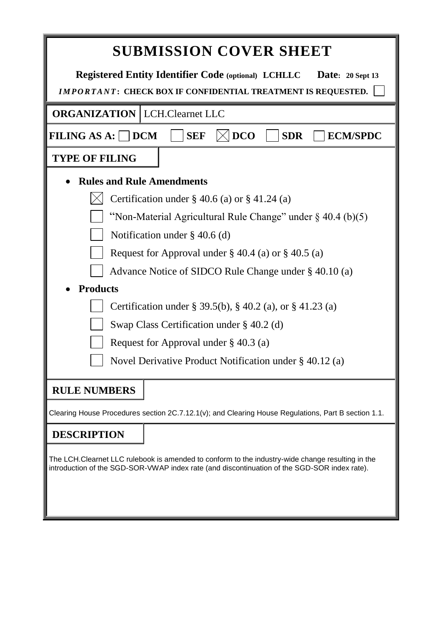| <b>SUBMISSION COVER SHEET</b>                                                                                                                                                                    |  |  |  |  |  |  |  |
|--------------------------------------------------------------------------------------------------------------------------------------------------------------------------------------------------|--|--|--|--|--|--|--|
| <b>Registered Entity Identifier Code (optional) LCHLLC</b><br>Date: 20 Sept 13<br>IMPORTANT: CHECK BOX IF CONFIDENTIAL TREATMENT IS REQUESTED.                                                   |  |  |  |  |  |  |  |
| <b>ORGANIZATION   LCH.Clearnet LLC</b>                                                                                                                                                           |  |  |  |  |  |  |  |
| <b>DCO</b><br><b>FILING AS A: DCM</b><br><b>SEF</b><br><b>SDR</b><br><b>ECM/SPDC</b>                                                                                                             |  |  |  |  |  |  |  |
| <b>TYPE OF FILING</b>                                                                                                                                                                            |  |  |  |  |  |  |  |
| <b>Rules and Rule Amendments</b>                                                                                                                                                                 |  |  |  |  |  |  |  |
| Certification under $\S$ 40.6 (a) or $\S$ 41.24 (a)                                                                                                                                              |  |  |  |  |  |  |  |
| "Non-Material Agricultural Rule Change" under $\S$ 40.4 (b)(5)                                                                                                                                   |  |  |  |  |  |  |  |
| Notification under $\S$ 40.6 (d)                                                                                                                                                                 |  |  |  |  |  |  |  |
| Request for Approval under $\S$ 40.4 (a) or $\S$ 40.5 (a)                                                                                                                                        |  |  |  |  |  |  |  |
| Advance Notice of SIDCO Rule Change under § 40.10 (a)                                                                                                                                            |  |  |  |  |  |  |  |
| <b>Products</b>                                                                                                                                                                                  |  |  |  |  |  |  |  |
| Certification under § 39.5(b), § 40.2 (a), or § 41.23 (a)                                                                                                                                        |  |  |  |  |  |  |  |
| Swap Class Certification under $\S$ 40.2 (d)                                                                                                                                                     |  |  |  |  |  |  |  |
| Request for Approval under $\S$ 40.3 (a)                                                                                                                                                         |  |  |  |  |  |  |  |
| Novel Derivative Product Notification under § 40.12 (a)                                                                                                                                          |  |  |  |  |  |  |  |
| <b>RULE NUMBERS</b>                                                                                                                                                                              |  |  |  |  |  |  |  |
| Clearing House Procedures section 2C.7.12.1(v); and Clearing House Regulations, Part B section 1.1.                                                                                              |  |  |  |  |  |  |  |
| <b>DESCRIPTION</b>                                                                                                                                                                               |  |  |  |  |  |  |  |
| The LCH.Clearnet LLC rulebook is amended to conform to the industry-wide change resulting in the<br>introduction of the SGD-SOR-VWAP index rate (and discontinuation of the SGD-SOR index rate). |  |  |  |  |  |  |  |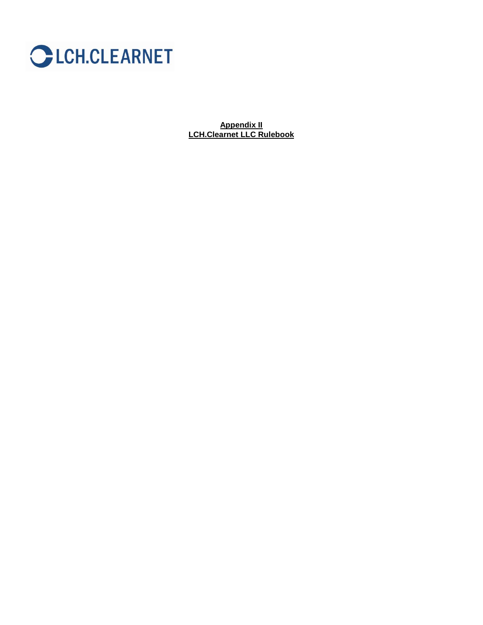

**Appendix II LCH.Clearnet LLC Rulebook**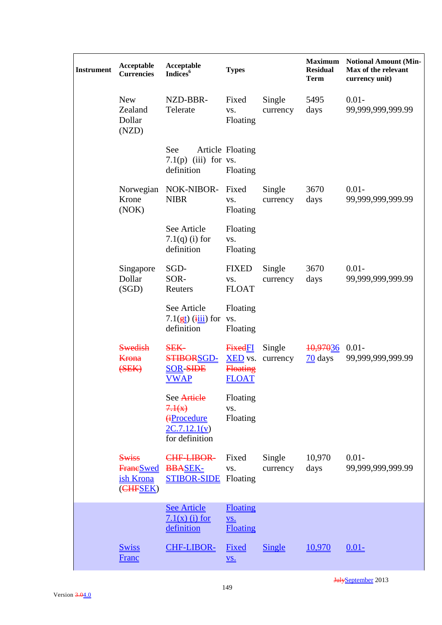| <b>Instrument</b> | Acceptable<br><b>Currencies</b>                            | Acceptable<br>Indices <sup>6</sup>                                           | <b>Types</b>                                                        |                    | <b>Maximum</b><br><b>Residual</b><br><b>Term</b> | <b>Notional Amount (Min-</b><br>Max of the relevant<br>currency unit) |
|-------------------|------------------------------------------------------------|------------------------------------------------------------------------------|---------------------------------------------------------------------|--------------------|--------------------------------------------------|-----------------------------------------------------------------------|
|                   | <b>New</b><br>Zealand<br>Dollar<br>(NZD)                   | NZD-BBR-<br>Telerate                                                         | Fixed<br>VS.<br>Floating                                            | Single<br>currency | 5495<br>days                                     | $0.01 -$<br>99,999,999,999.99                                         |
|                   |                                                            | See<br>7.1 $(p)$ (iii) for vs.<br>definition                                 | Article Floating<br>Floating                                        |                    |                                                  |                                                                       |
|                   | Norwegian<br>Krone<br>(NOK)                                | NOK-NIBOR-<br><b>NIBR</b>                                                    | Fixed<br>VS.<br>Floating                                            | Single<br>currency | 3670<br>days                                     | $0.01 -$<br>99,999,999,999.99                                         |
|                   |                                                            | See Article<br>$7.1(q)$ (i) for<br>definition                                | Floating<br>VS.<br>Floating                                         |                    |                                                  |                                                                       |
|                   | Singapore<br>Dollar<br>(SGD)                               | SGD-<br>SOR-<br>Reuters                                                      | <b>FIXED</b><br>VS.<br><b>FLOAT</b>                                 | Single<br>currency | 3670<br>days                                     | $0.01 -$<br>99,999,999,999.99                                         |
|                   |                                                            | See Article<br>$7.1(\frac{gt}{g})$ (iii) for<br>definition                   | Floating<br>VS.<br>Floating                                         |                    |                                                  |                                                                       |
|                   | <b>Swedish</b><br><b>Krona</b><br>( <b>SEK</b> )           | <b>SEK-</b><br><b>STIBORSGD-</b><br><b>SOR-SIDE</b><br><b>VWAP</b>           | <b>FixedFI</b><br><b>XED</b> vs.<br><b>Floating</b><br><b>FLOAT</b> | Single<br>currency | <del>10,97036</del><br>$\frac{70}{2}$ days       | $0.01 -$<br>99,999,999,999.99                                         |
|                   |                                                            | See Artiele<br>7.1(x)<br><b>GProcedure</b><br>2C.7.12.1(v)<br>for definition | Floating<br>VS.<br>Floating                                         |                    |                                                  |                                                                       |
|                   | <b>Swiss</b><br><b>Frane</b> Swed<br>ish Krona<br>(CHFSEK) | CHF-LIBOR-<br><b>BBASEK-</b><br><b>STIBOR-SIDE</b> Floating                  | Fixed<br>VS.                                                        | Single<br>currency | 10,970<br>days                                   | $0.01 -$<br>99,999,999,999.99                                         |
|                   |                                                            | <b>See Article</b><br>$7.1(x)$ (i) for<br>definition                         | Floating<br><u>VS.</u><br><b>Floating</b>                           |                    |                                                  |                                                                       |
|                   | <b>Swiss</b><br><b>Franc</b>                               | <b>CHF-LIBOR-</b>                                                            | Fixed<br>$\underline{\mathbf{VS}}$ .                                | <b>Single</b>      | 10,970                                           | $0.01 -$                                                              |